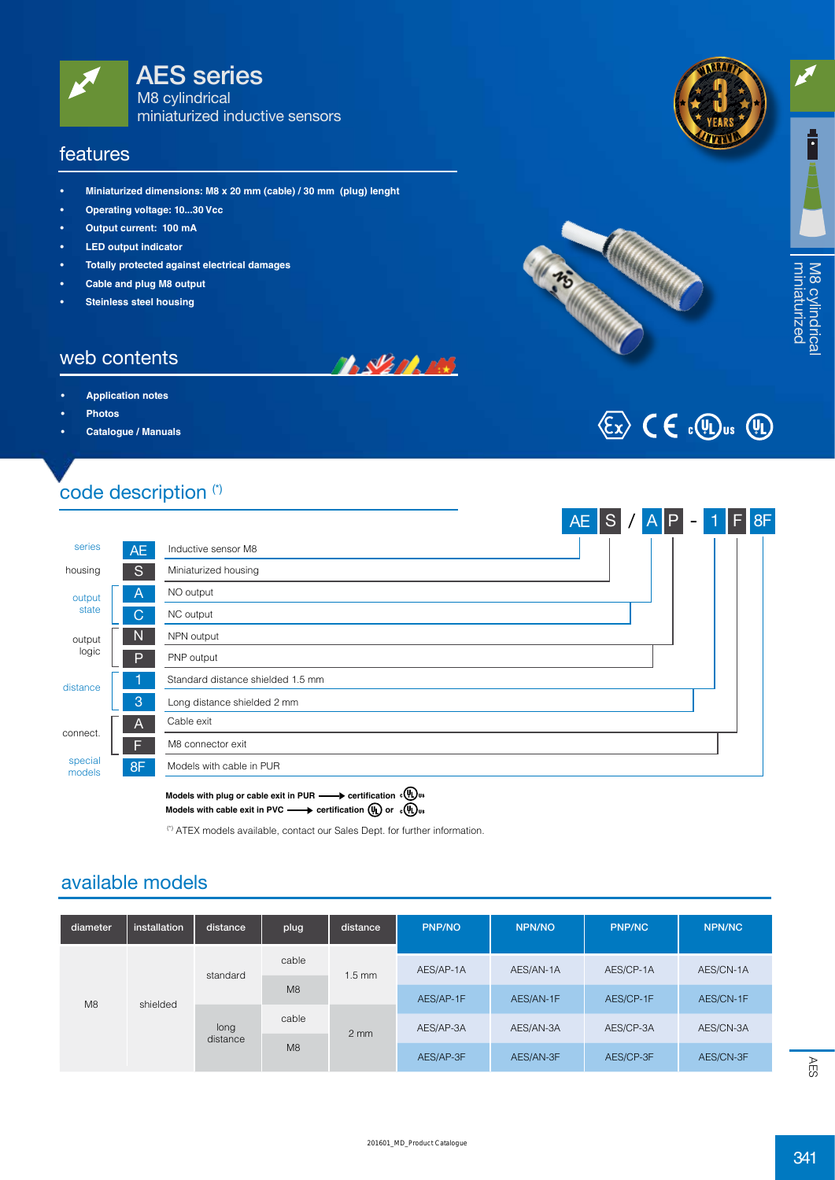

#### features

- **• Miniaturized dimensions: M8 x 20 mm (cable) / 30 mm (plug) lenght**
- **• Operating voltage: 10...30 Vcc**
- **• Output current: 100 mA**
- **LED** output indicator
- **• Totally protected against electrical damages**
- **• Cable and plug M8 output**
- **Steinless steel housing**

#### web contents

- **Application** notes
- **• Photos**
- **• Catalogue / Manuals**

# code description (\*)



**BALLARDERS** 

Models with plug or cable exit in PUR **-** certification  $\alpha(\mathbf{W})$ us Models with cable exit in PVC  $\longrightarrow$  certification  $(\mathfrak{h})$  or  $\mathfrak{g}(\mathfrak{h})$ <sub>us</sub>

(\*) ATEX models available, contact our Sales Dept. for further information.

#### available models

| diameter | installation | distance         | plug  | distance         | <b>PNP/NO</b> | <b>NPN/NO</b> | <b>PNP/NC</b> | NPN/NC    |
|----------|--------------|------------------|-------|------------------|---------------|---------------|---------------|-----------|
| M8       | shielded     | standard         | cable | $1.5 \text{ mm}$ | AES/AP-1A     | AES/AN-1A     | AES/CP-1A     | AES/CN-1A |
|          |              |                  | M8    |                  | AES/AP-1F     | AES/AN-1F     | AES/CP-1F     | AES/CN-1F |
|          |              | long<br>distance | cable | $2 \, \text{mm}$ | AES/AP-3A     | AES/AN-3A     | AES/CP-3A     | AES/CN-3A |
|          |              |                  | M8    |                  | AES/AP-3F     | AES/AN-3F     | AES/CP-3F     | AES/CN-3F |

**warrant<sup>y</sup> a w <sup>t</sup>nar<sup>r</sup> <sup>y</sup>**





**CASTLE CONFERENCE** 

 $341$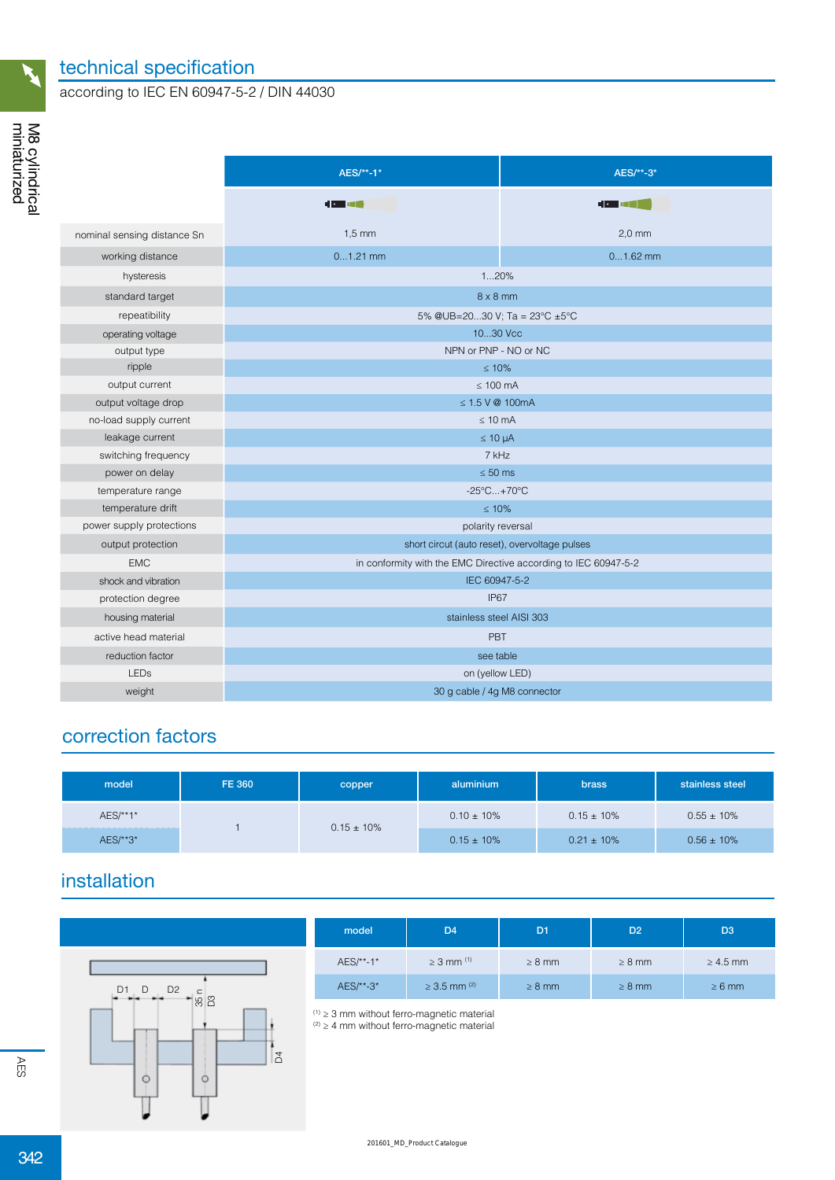

#### technical specification

according to IEC EN 60947-5-2 / DIN 44030

|                             | AES/**-1*                                                       | AES/**-3*      |  |  |  |
|-----------------------------|-----------------------------------------------------------------|----------------|--|--|--|
|                             | $\blacksquare$                                                  | $\blacksquare$ |  |  |  |
| nominal sensing distance Sn | $1,5$ mm                                                        | $2,0$ mm       |  |  |  |
| working distance            | $01.21$ mm                                                      | $01.62$ mm     |  |  |  |
| hysteresis                  | 120%                                                            |                |  |  |  |
| standard target             | $8 \times 8$ mm                                                 |                |  |  |  |
| repeatibility               | 5% @UB=2030 V; Ta = $23^{\circ}$ C ±5°C                         |                |  |  |  |
| operating voltage           | 1030 Vcc                                                        |                |  |  |  |
| output type                 | NPN or PNP - NO or NC                                           |                |  |  |  |
| ripple                      | $\leq 10\%$                                                     |                |  |  |  |
| output current              | $\leq 100$ mA                                                   |                |  |  |  |
| output voltage drop         | $\leq$ 1.5 V @ 100mA                                            |                |  |  |  |
| no-load supply current      | $\leq 10$ mA                                                    |                |  |  |  |
| leakage current             | $\leq 10 \mu A$                                                 |                |  |  |  |
| switching frequency         | 7 kHz                                                           |                |  |  |  |
| power on delay              | $\leq 50$ ms                                                    |                |  |  |  |
| temperature range           | $-25^{\circ}$ C +70 $^{\circ}$ C                                |                |  |  |  |
| temperature drift           | $\leq 10\%$                                                     |                |  |  |  |
| power supply protections    | polarity reversal                                               |                |  |  |  |
| output protection           | short circut (auto reset), overvoltage pulses                   |                |  |  |  |
| <b>EMC</b>                  | in conformity with the EMC Directive according to IEC 60947-5-2 |                |  |  |  |
| shock and vibration         | IEC 60947-5-2                                                   |                |  |  |  |
| protection degree           | <b>IP67</b>                                                     |                |  |  |  |
| housing material            | stainless steel AISI 303                                        |                |  |  |  |
| active head material        | PBT                                                             |                |  |  |  |
| reduction factor            | see table                                                       |                |  |  |  |
| <b>LEDs</b>                 | on (yellow LED)                                                 |                |  |  |  |
| weight                      | 30 g cable / 4g M8 connector                                    |                |  |  |  |

### correction factors

| model      | <b>FE 360</b> | copper          | aluminium       | <b>brass</b>    | stainless steel |
|------------|---------------|-----------------|-----------------|-----------------|-----------------|
| $AES/**1*$ |               | $0.15 \pm 10\%$ | $0.10 \pm 10\%$ | $0.15 \pm 10\%$ | $0.55 \pm 10\%$ |
| AES/**3*   |               |                 | $0.15 \pm 10\%$ | $0.21 \pm 10\%$ | $0.56 \pm 10\%$ |

## installation



| model     | D4                           | D <sub>1</sub> | D <sub>2</sub> | D <sub>3</sub> |  |
|-----------|------------------------------|----------------|----------------|----------------|--|
| AES/**-1* | $\geq 3$ mm <sup>(1)</sup>   | $\geq 8$ mm    | $\geq 8$ mm    | $\geq 4.5$ mm  |  |
| AES/**-3* | $\geq$ 3.5 mm <sup>(2)</sup> | $\geq 8$ mm    | $\geq 8$ mm    | $\geq 6$ mm    |  |

 $(1)$   $\geq$  3 mm without ferro-magnetic material

 $(2)$   $\geq$  4 mm without ferro-magnetic material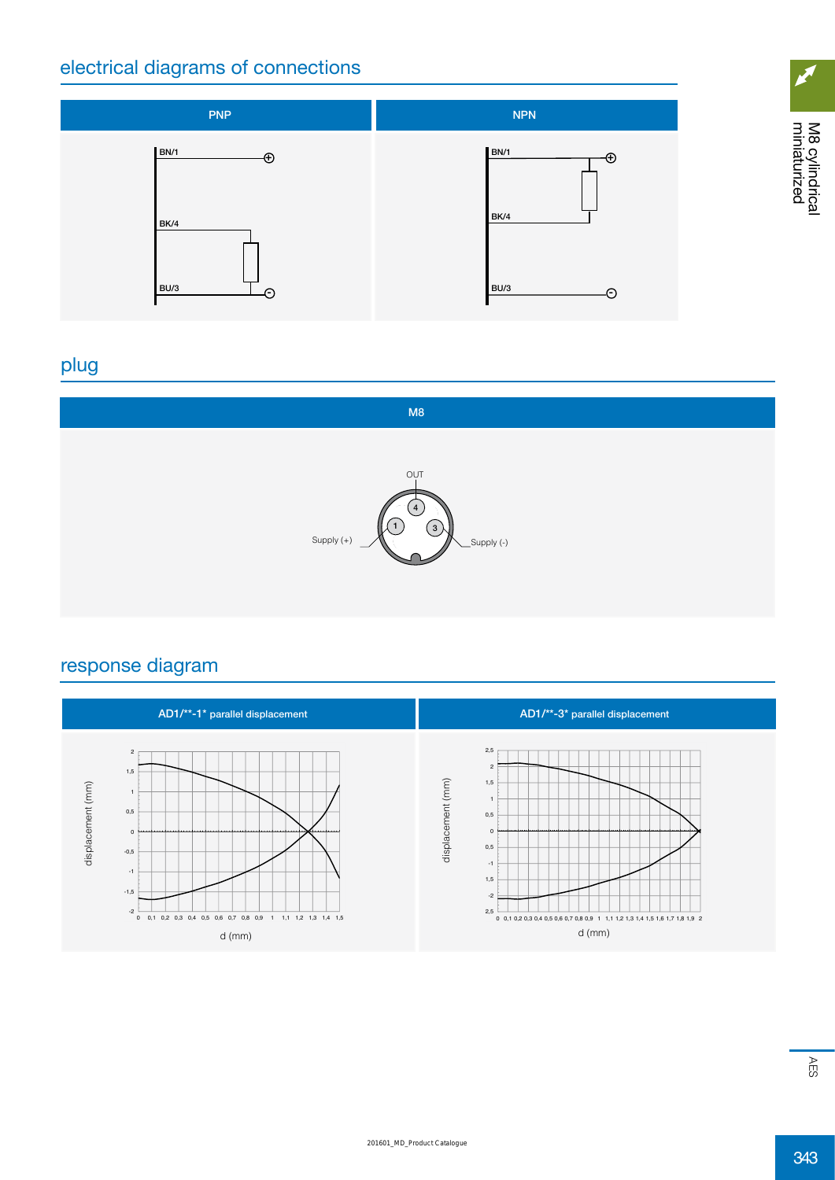### electrical diagrams of connections



# plug



### response diagram



 $\mathbb S$ 

cylindrical miniaturized